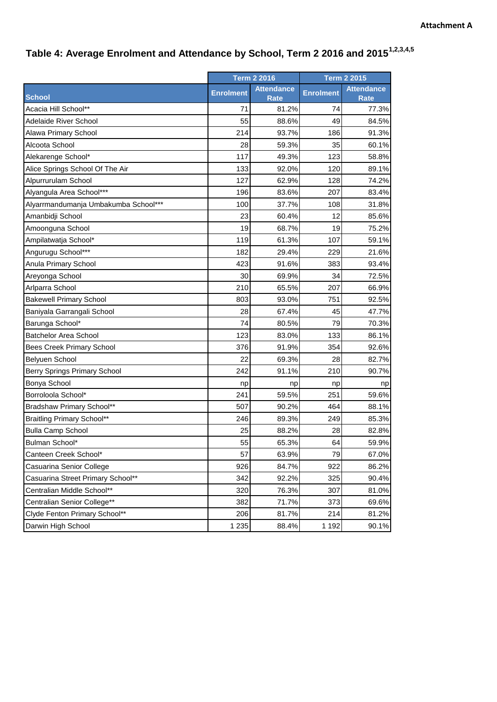## **Table 4: Average Enrolment and Attendance by School, Term 2 2016 and 20151,2,3,4,5**

|                                      | <b>Term 2 2016</b> |                                  | <b>Term 2 2015</b> |                                  |
|--------------------------------------|--------------------|----------------------------------|--------------------|----------------------------------|
| <b>School</b>                        | <b>Enrolment</b>   | <b>Attendance</b><br><b>Rate</b> | <b>Enrolment</b>   | <b>Attendance</b><br><b>Rate</b> |
| Acacia Hill School**                 | 71                 | 81.2%                            | 74                 | 77.3%                            |
| Adelaide River School                | 55                 | 88.6%                            | 49                 | 84.5%                            |
| Alawa Primary School                 | 214                | 93.7%                            | 186                | 91.3%                            |
| Alcoota School                       | 28                 | 59.3%                            | 35                 | 60.1%                            |
| Alekarenge School*                   | 117                | 49.3%                            | 123                | 58.8%                            |
| Alice Springs School Of The Air      | 133                | 92.0%                            | 120                | 89.1%                            |
| Alpurrurulam School                  | 127                | 62.9%                            | 128                | 74.2%                            |
| Alyangula Area School***             | 196                | 83.6%                            | 207                | 83.4%                            |
| Alyarrmandumanja Umbakumba School*** | 100                | 37.7%                            | 108                | 31.8%                            |
| Amanbidji School                     | 23                 | 60.4%                            | 12                 | 85.6%                            |
| Amoonguna School                     | 19                 | 68.7%                            | 19                 | 75.2%                            |
| Ampilatwatja School*                 | 119                | 61.3%                            | 107                | 59.1%                            |
| Angurugu School***                   | 182                | 29.4%                            | 229                | 21.6%                            |
| Anula Primary School                 | 423                | 91.6%                            | 383                | 93.4%                            |
| Areyonga School                      | 30                 | 69.9%                            | 34                 | 72.5%                            |
| Arlparra School                      | 210                | 65.5%                            | 207                | 66.9%                            |
| <b>Bakewell Primary School</b>       | 803                | 93.0%                            | 751                | 92.5%                            |
| Baniyala Garrangali School           | 28                 | 67.4%                            | 45                 | 47.7%                            |
| Barunga School*                      | 74                 | 80.5%                            | 79                 | 70.3%                            |
| <b>Batchelor Area School</b>         | 123                | 83.0%                            | 133                | 86.1%                            |
| <b>Bees Creek Primary School</b>     | 376                | 91.9%                            | 354                | 92.6%                            |
| <b>Belyuen School</b>                | 22                 | 69.3%                            | 28                 | 82.7%                            |
| <b>Berry Springs Primary School</b>  | 242                | 91.1%                            | 210                | 90.7%                            |
| Bonya School                         | np                 | np                               | np                 | np                               |
| Borroloola School*                   | 241                | 59.5%                            | 251                | 59.6%                            |
| Bradshaw Primary School**            | 507                | 90.2%                            | 464                | 88.1%                            |
| <b>Braitling Primary School**</b>    | 246                | 89.3%                            | 249                | 85.3%                            |
| <b>Bulla Camp School</b>             | 25                 | 88.2%                            | 28                 | 82.8%                            |
| Bulman School*                       | 55                 | 65.3%                            | 64                 | 59.9%                            |
| Canteen Creek School*                | 57                 | 63.9%                            | 79                 | 67.0%                            |
| Casuarina Senior College             | 926                | 84.7%                            | 922                | 86.2%                            |
| Casuarina Street Primary School**    | 342                | 92.2%                            | 325                | 90.4%                            |
| Centralian Middle School**           | 320                | 76.3%                            | 307                | 81.0%                            |
| Centralian Senior College**          | 382                | 71.7%                            | 373                | 69.6%                            |
| Clyde Fenton Primary School**        | 206                | 81.7%                            | 214                | 81.2%                            |
| Darwin High School                   | 1 2 3 5            | 88.4%                            | 1 1 9 2            | 90.1%                            |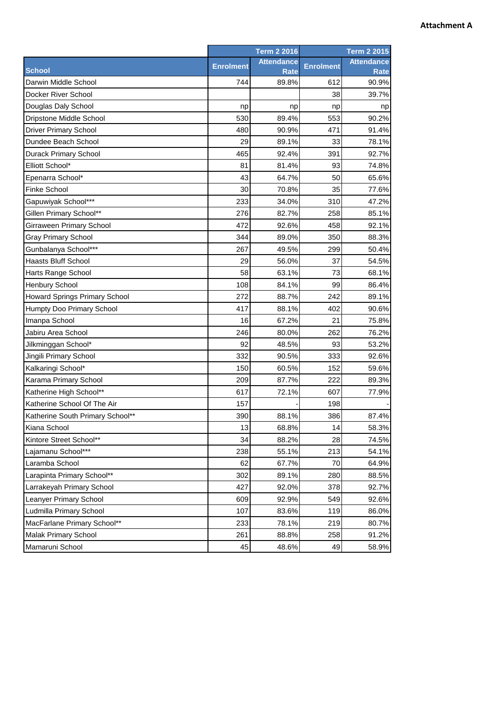## **Attachment A**

|                                      | <b>Term 2 2016</b> |                                  | <b>Term 2 2015</b> |                                  |
|--------------------------------------|--------------------|----------------------------------|--------------------|----------------------------------|
| <b>School</b>                        | <b>Enrolment</b>   | <b>Attendance</b><br><b>Rate</b> | <b>Enrolment</b>   | <b>Attendance</b><br><b>Rate</b> |
| Darwin Middle School                 | 744                | 89.8%                            | 612                | 90.9%                            |
| Docker River School                  |                    |                                  | 38                 | 39.7%                            |
| Douglas Daly School                  | np                 | np                               | np                 | np                               |
| Dripstone Middle School              | 530                | 89.4%                            | 553                | 90.2%                            |
| <b>Driver Primary School</b>         | 480                | 90.9%                            | 471                | 91.4%                            |
| Dundee Beach School                  | 29                 | 89.1%                            | 33                 | 78.1%                            |
| <b>Durack Primary School</b>         | 465                | 92.4%                            | 391                | 92.7%                            |
| Elliott School*                      | 81                 | 81.4%                            | 93                 | 74.8%                            |
| Epenarra School*                     | 43                 | 64.7%                            | 50                 | 65.6%                            |
| <b>Finke School</b>                  | 30                 | 70.8%                            | 35                 | 77.6%                            |
| Gapuwiyak School***                  | 233                | 34.0%                            | 310                | 47.2%                            |
| Gillen Primary School**              | 276                | 82.7%                            | 258                | 85.1%                            |
| Girraween Primary School             | 472                | 92.6%                            | 458                | 92.1%                            |
| <b>Gray Primary School</b>           | 344                | 89.0%                            | 350                | 88.3%                            |
| Gunbalanya School***                 | 267                | 49.5%                            | 299                | 50.4%                            |
| <b>Haasts Bluff School</b>           | 29                 | 56.0%                            | 37                 | 54.5%                            |
| <b>Harts Range School</b>            | 58                 | 63.1%                            | 73                 | 68.1%                            |
| <b>Henbury School</b>                | 108                | 84.1%                            | 99                 | 86.4%                            |
| <b>Howard Springs Primary School</b> | 272                | 88.7%                            | 242                | 89.1%                            |
| Humpty Doo Primary School            | 417                | 88.1%                            | 402                | 90.6%                            |
| Imanpa School                        | 16                 | 67.2%                            | 21                 | 75.8%                            |
| Jabiru Area School                   | 246                | 80.0%                            | 262                | 76.2%                            |
| Jilkminggan School*                  | 92                 | 48.5%                            | 93                 | 53.2%                            |
| Jingili Primary School               | 332                | 90.5%                            | 333                | 92.6%                            |
| Kalkaringi School*                   | 150                | 60.5%                            | 152                | 59.6%                            |
| Karama Primary School                | 209                | 87.7%                            | 222                | 89.3%                            |
| Katherine High School**              | 617                | 72.1%                            | 607                | 77.9%                            |
| Katherine School Of The Air          | 157                |                                  | 198                |                                  |
| Katherine South Primary School**     | 390                | 88.1%                            | 386                | 87.4%                            |
| Kiana School                         | 13                 | 68.8%                            | 14                 | 58.3%                            |
| Kintore Street School**              | 34                 | 88.2%                            | 28                 | 74.5%                            |
| Lajamanu School***                   | 238                | 55.1%                            | 213                | 54.1%                            |
| Laramba School                       | 62                 | 67.7%                            | 70                 | 64.9%                            |
| Larapinta Primary School**           | 302                | 89.1%                            | 280                | 88.5%                            |
| Larrakeyah Primary School            | 427                | 92.0%                            | 378                | 92.7%                            |
| <b>Leanyer Primary School</b>        | 609                | 92.9%                            | 549                | 92.6%                            |
| Ludmilla Primary School              | 107                | 83.6%                            | 119                | 86.0%                            |
| MacFarlane Primary School**          | 233                | 78.1%                            | 219                | 80.7%                            |
| <b>Malak Primary School</b>          | 261                | 88.8%                            | 258                | 91.2%                            |
| Mamaruni School                      | 45                 | 48.6%                            | 49                 | 58.9%                            |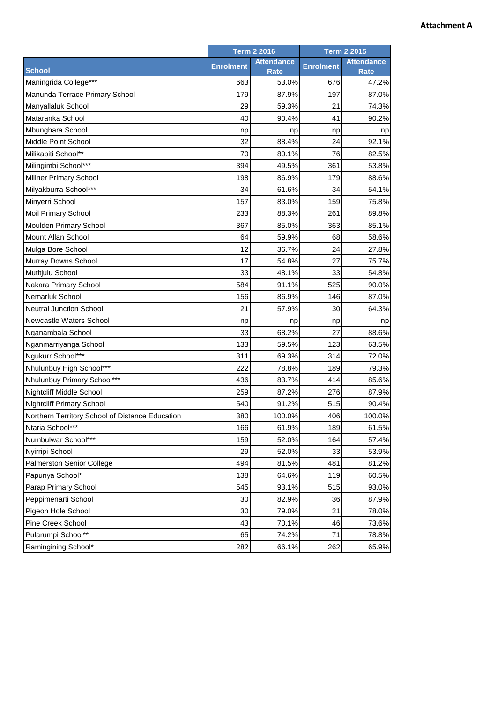## **Attachment A**

|                                                 |                  | <b>Term 2 2016</b>               |                  | <b>Term 2 2015</b>               |
|-------------------------------------------------|------------------|----------------------------------|------------------|----------------------------------|
| <b>School</b>                                   | <b>Enrolment</b> | <b>Attendance</b><br><b>Rate</b> | <b>Enrolment</b> | <b>Attendance</b><br><b>Rate</b> |
| Maningrida College***                           | 663              | 53.0%                            | 676              | 47.2%                            |
| Manunda Terrace Primary School                  | 179              | 87.9%                            | 197              | 87.0%                            |
| Manyallaluk School                              | 29               | 59.3%                            | 21               | 74.3%                            |
| Mataranka School                                | 40               | 90.4%                            | 41               | 90.2%                            |
| Mbunghara School                                | np               | np                               | np               | np                               |
| Middle Point School                             | 32               | 88.4%                            | 24               | 92.1%                            |
| Milikapiti School**                             | 70               | 80.1%                            | 76               | 82.5%                            |
| Milingimbi School***                            | 394              | 49.5%                            | 361              | 53.8%                            |
| Millner Primary School                          | 198              | 86.9%                            | 179              | 88.6%                            |
| Milyakburra School***                           | 34               | 61.6%                            | 34               | 54.1%                            |
| Minyerri School                                 | 157              | 83.0%                            | 159              | 75.8%                            |
| <b>Moil Primary School</b>                      | 233              | 88.3%                            | 261              | 89.8%                            |
| Moulden Primary School                          | 367              | 85.0%                            | 363              | 85.1%                            |
| Mount Allan School                              | 64               | 59.9%                            | 68               | 58.6%                            |
| Mulga Bore School                               | 12               | 36.7%                            | 24               | 27.8%                            |
| Murray Downs School                             | 17               | 54.8%                            | 27               | 75.7%                            |
| Mutitjulu School                                | 33               | 48.1%                            | 33               | 54.8%                            |
| Nakara Primary School                           | 584              | 91.1%                            | 525              | 90.0%                            |
| Nemarluk School                                 | 156              | 86.9%                            | 146              | 87.0%                            |
| <b>Neutral Junction School</b>                  | 21               | 57.9%                            | 30               | 64.3%                            |
| Newcastle Waters School                         | np               | np                               | np               | np                               |
| Nganambala School                               | 33               | 68.2%                            | 27               | 88.6%                            |
| Nganmarriyanga School                           | 133              | 59.5%                            | 123              | 63.5%                            |
| Ngukurr School***                               | 311              | 69.3%                            | 314              | 72.0%                            |
| Nhulunbuy High School***                        | 222              | 78.8%                            | 189              | 79.3%                            |
| Nhulunbuy Primary School***                     | 436              | 83.7%                            | 414              | 85.6%                            |
| <b>Nightcliff Middle School</b>                 | 259              | 87.2%                            | 276              | 87.9%                            |
| <b>Nightcliff Primary School</b>                | 540              | 91.2%                            | 515              | 90.4%                            |
| Northern Territory School of Distance Education | 380              | 100.0%                           | 406              | 100.0%                           |
| Ntaria School***                                | 166              | 61.9%                            | 189              | 61.5%                            |
| Numbulwar School***                             | 159              | 52.0%                            | 164              | 57.4%                            |
| Nyirripi School                                 | 29               | 52.0%                            | 33               | 53.9%                            |
| Palmerston Senior College                       | 494              | 81.5%                            | 481              | 81.2%                            |
| Papunya School*                                 | 138              | 64.6%                            | 119              | 60.5%                            |
| Parap Primary School                            | 545              | 93.1%                            | 515              | 93.0%                            |
| Peppimenarti School                             | 30               | 82.9%                            | 36               | 87.9%                            |
| Pigeon Hole School                              | 30               | 79.0%                            | 21               | 78.0%                            |
| Pine Creek School                               | 43               | 70.1%                            | 46               | 73.6%                            |
| Pularumpi School**                              | 65               | 74.2%                            | 71               | 78.8%                            |
| Ramingining School*                             | 282              | 66.1%                            | 262              | 65.9%                            |